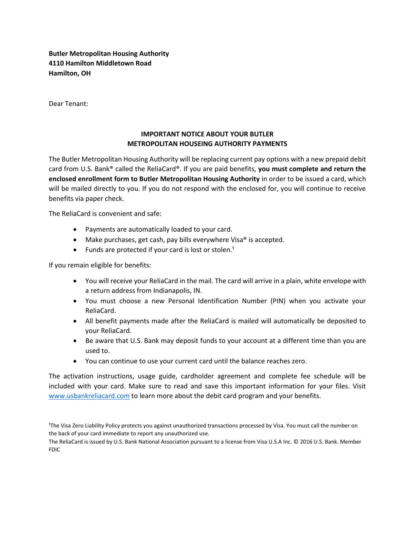**Butler Metropolitan Housing Authority 4110 Hamilton Middletown Road Hamilton, OH** 

Dear Tenant:

## **IMPORTANT NOTICE ABOUT YOUR BUTLER METROPOLITAN HOUSEING AUTHORITY PAYMENTS**

The Butler Metropolitan Housing Authority will be replacing current pay options with a new prepaid debit card from U.S. Bank® called the ReliaCard®. If you are paid benefits, **you must complete and return the enclosed enrollment form to Butler Metropolitan Housing Authority** in order to be issued a card, which will be mailed directly to you. If you do not respond with the enclosed for, you will continue to receive benefits via paper check.

The ReliaCard is convenient and safe:

- Payments are automatically loaded to your card.
- Make purchases, get cash, pay bills everywhere Visa<sup>®</sup> is accepted.
- Funds are protected if your card is lost or stolen.<sup>1</sup>

If you remain eligible for benefits:

- You will receive your ReliaCard in the mail. The card will arrive in a plain, white envelope with a return address from Indianapolis, IN.
- You must choose a new Personal Identification Number (PIN) when you activate your ReliaCard.
- All benefit payments made after the ReliaCard is mailed will automatically be deposited to your ReliaCard.
- Be aware that U.S. Bank may deposit funds to your account at a different time than you are used to.
- You can continue to use your current card until the balance reaches zero.

The activation instructions, usage guide, cardholder agreement and complete fee schedule will be included with your card. Make sure to read and save this important information for your files. Visit [www.usbankreliacard.com](http://www.usbankreliacard.com/) to learn more about the debit card program and your benefits.

The ReliaCard is issued by U.S. Bank National Association pursuant to a license from Visa U.S.A Inc. © 2016 U.S. Bank. Member FDIC

<sup>&</sup>lt;sup>1</sup>The Visa Zero Liability Policy protects you against unauthorized transactions processed by Visa. You must call the number on the back of your card immediate to report any unauthorized use.